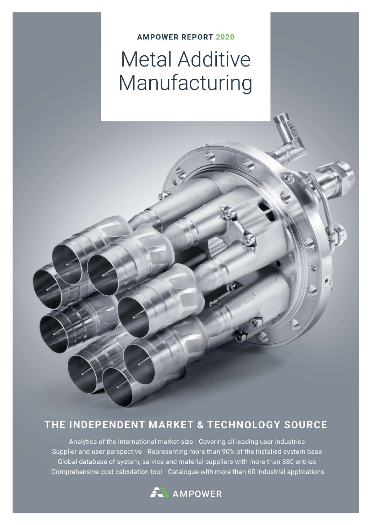### **AMPOWER REPORT 2020 Metal Additive** Manufacturing

### THE INDEPENDENT MARKET & TECHNOLOGY SOURCE

Analytics of the international market size Covering all leading user industries Supplier and user perspective Representing more than 90% of the installed system base Global database of system, service and material suppliers with more than 380 entries Comprehensive cost calculation tool Catalogue with more than 60 industrial applications

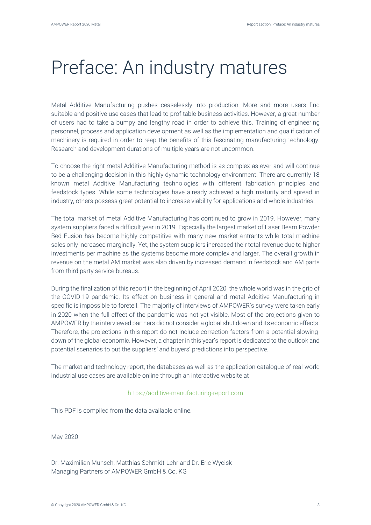## Preface: An industry matures

Metal Additive Manufacturing pushes ceaselessly into production. More and more users find suitable and positive use cases that lead to profitable business activities. However, a great number of users had to take a bumpy and lengthy road in order to achieve this. Training of engineering personnel, process and application development as well as the implementation and qualification of machinery is required in order to reap the benefits of this fascinating manufacturing technology. Research and development durations of multiple years are not uncommon.

To choose the right metal Additive Manufacturing method is as complex as ever and will continue to be a challenging decision in this highly dynamic technology environment. There are currently 18 known metal Additive Manufacturing technologies with different fabrication principles and feedstock types. While some technologies have already achieved a high maturity and spread in industry, others possess great potential to increase viability for applications and whole industries.

The total market of metal Additive Manufacturing has continued to grow in 2019. However, many system suppliers faced a difficult year in 2019. Especially the largest market of Laser Beam Powder Bed Fusion has become highly competitive with many new market entrants while total machine sales only increased marginally. Yet, the system suppliers increased their total revenue due to higher investments per machine as the systems become more complex and larger. The overall growth in revenue on the metal AM market was also driven by increased demand in feedstock and AM parts from third party service bureaus.

During the finalization of this report in the beginning of April 2020, the whole world was in the grip of the COVID-19 pandemic. Its effect on business in general and metal Additive Manufacturing in specific is impossible to foretell. The majority of interviews of AMPOWER's survey were taken early in 2020 when the full effect of the pandemic was not yet visible. Most of the projections given to AMPOWER by the interviewed partners did not consider a global shut down and its economic effects. Therefore, the projections in this report do not include correction factors from a potential slowingdown of the global economic. However, a chapter in this year's report is dedicated to the outlook and potential scenarios to put the suppliers' and buyers' predictions into perspective.

The market and technology report, the databases as well as the application catalogue of real-world industrial use cases are available online through an interactive website at

#### https://additive-manufacturing-report.com

This PDF is compiled from the data available online.

May 2020

Dr. Maximilian Munsch, Matthias Schmidt-Lehr and Dr. Eric Wycisk Managing Partners of AMPOWER GmbH & Co. KG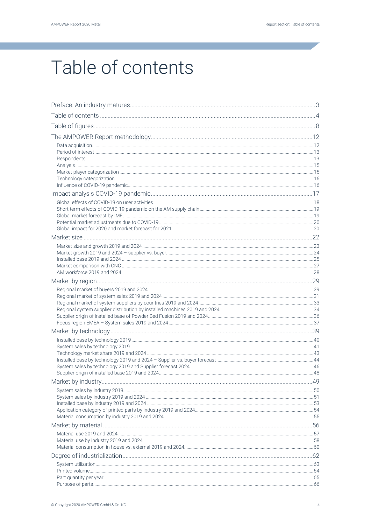# Table of contents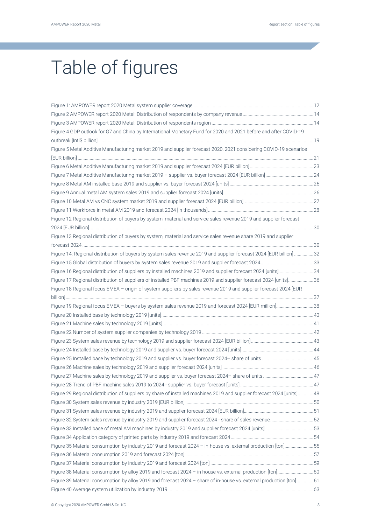# Table of figures

| Figure 4 GDP outlook for G7 and China by International Monetary Fund for 2020 and 2021 before and after COVID-19       |  |
|------------------------------------------------------------------------------------------------------------------------|--|
| Figure 5 Metal Additive Manufacturing market 2019 and supplier forecast 2020, 2021 considering COVID-19 scenarios      |  |
|                                                                                                                        |  |
|                                                                                                                        |  |
|                                                                                                                        |  |
|                                                                                                                        |  |
|                                                                                                                        |  |
|                                                                                                                        |  |
|                                                                                                                        |  |
| Figure 12 Regional distribution of buyers by system, material and service sales revenue 2019 and supplier forecast     |  |
| Figure 13 Regional distribution of buyers by system, material and service sales revenue share 2019 and supplier        |  |
|                                                                                                                        |  |
| Figure 14: Regional distribution of buyers by system sales revenue 2019 and supplier forecast 2024 [EUR billion] 32    |  |
|                                                                                                                        |  |
| Figure 16 Regional distribution of suppliers by installed machines 2019 and supplier forecast 2024 [units] 34          |  |
| Figure 17 Regional distribution of suppliers of installed PBF machines 2019 and supplier forecast 2024 [units]36       |  |
| Figure 18 Regional focus EMEA - origin of system suppliers by sales revenue 2019 and supplier forecast 2024 [EUR       |  |
| Figure 19 Regional focus EMEA - buyers by system sales revenue 2019 and forecast 2024 [EUR million]38                  |  |
|                                                                                                                        |  |
|                                                                                                                        |  |
|                                                                                                                        |  |
|                                                                                                                        |  |
|                                                                                                                        |  |
|                                                                                                                        |  |
|                                                                                                                        |  |
|                                                                                                                        |  |
|                                                                                                                        |  |
| Figure 29 Regional distribution of suppliers by share of installed machines 2019 and supplier forecast 2024 [units] 48 |  |
|                                                                                                                        |  |
|                                                                                                                        |  |
| Figure 32 System sales revenue by industry 2019 and supplier forecast 2024 - share of sales revenue52                  |  |
|                                                                                                                        |  |
|                                                                                                                        |  |
| Figure 35 Material consumption by industry 2019 and forecast 2024 - in-house vs. external production [ton]55           |  |
|                                                                                                                        |  |
|                                                                                                                        |  |
| Figure 38 Material consumption by alloy 2019 and forecast 2024 - in-house vs. external production [ton] 60             |  |
| Figure 39 Material consumption by alloy 2019 and forecast 2024 - share of in-house vs. external production [ton]61     |  |
|                                                                                                                        |  |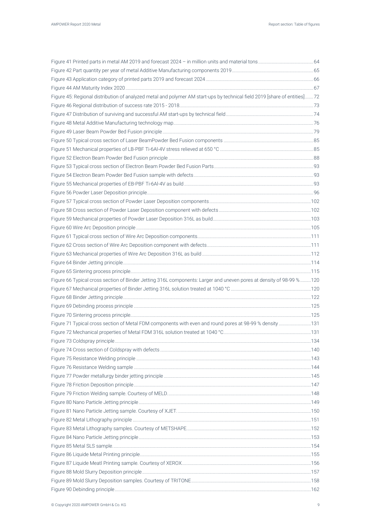| Figure 45: Regional distribution of analyzed metal and polymer AM start-ups by technical field 2019 [share of entities]72 |  |
|---------------------------------------------------------------------------------------------------------------------------|--|
|                                                                                                                           |  |
|                                                                                                                           |  |
|                                                                                                                           |  |
|                                                                                                                           |  |
|                                                                                                                           |  |
|                                                                                                                           |  |
|                                                                                                                           |  |
|                                                                                                                           |  |
|                                                                                                                           |  |
|                                                                                                                           |  |
|                                                                                                                           |  |
|                                                                                                                           |  |
|                                                                                                                           |  |
|                                                                                                                           |  |
|                                                                                                                           |  |
|                                                                                                                           |  |
|                                                                                                                           |  |
|                                                                                                                           |  |
|                                                                                                                           |  |
|                                                                                                                           |  |
| Figure 66 Typical cross section of Binder Jetting 316L components: Larger and uneven pores at density of 98-99 %120       |  |
|                                                                                                                           |  |
|                                                                                                                           |  |
|                                                                                                                           |  |
|                                                                                                                           |  |
| Figure 71 Typical cross section of Metal FDM components with even and round pores at 98-99 % density 131                  |  |
|                                                                                                                           |  |
|                                                                                                                           |  |
|                                                                                                                           |  |
|                                                                                                                           |  |
|                                                                                                                           |  |
|                                                                                                                           |  |
|                                                                                                                           |  |
|                                                                                                                           |  |
|                                                                                                                           |  |
|                                                                                                                           |  |
|                                                                                                                           |  |
|                                                                                                                           |  |
|                                                                                                                           |  |
|                                                                                                                           |  |
|                                                                                                                           |  |
|                                                                                                                           |  |
|                                                                                                                           |  |
|                                                                                                                           |  |
|                                                                                                                           |  |
|                                                                                                                           |  |